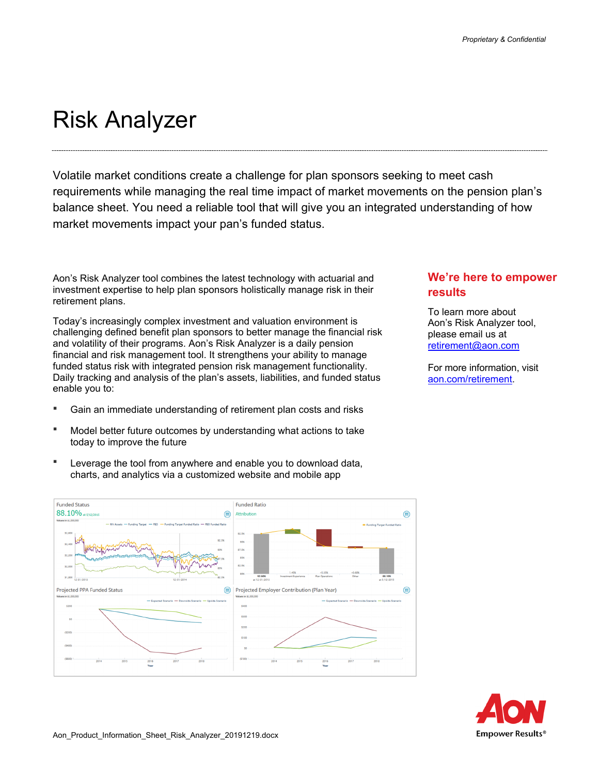## Risk Analyzer

**Funded Status** 

88.10%

\$1.80

Projected PPA Funded Status

Volatile market conditions create a challenge for plan sponsors seeking to meet cash requirements while managing the real time impact of market movements on the pension plan's balance sheet. You need a reliable tool that will give you an integrated understanding of how market movements impact your pan's funded status.

Aon's Risk Analyzer tool combines the latest technology with actuarial and investment expertise to help plan sponsors holistically manage risk in their retirement plans.

Today's increasingly complex investment and valuation environment is challenging defined benefit plan sponsors to better manage the financial risk and volatility of their programs. Aon's Risk Analyzer is a daily pension financial and risk management tool. It strengthens your ability to manage funded status risk with integrated pension risk management functionality. Daily tracking and analysis of the plan's assets, liabilities, and funded status enable you to:

- Gain an immediate understanding of retirement plan costs and risks
- Model better future outcomes by understanding what actions to take today to improve the future
- Leverage the tool from anywhere and enable you to download data, charts, and analytics via a customized website and mobile app

**Funded Ratio** 

Projected Employer Contribution (Plan Year)

 $\frac{1}{200}$ 37.5% **85%** .<br>32.5%

(⊞ Attributio

侖



 $\bigoplus$ 

 $\bigoplus$ 

**results** 

For more information, visit aon.com/retirement.

To learn more about

**We're here to empower** 

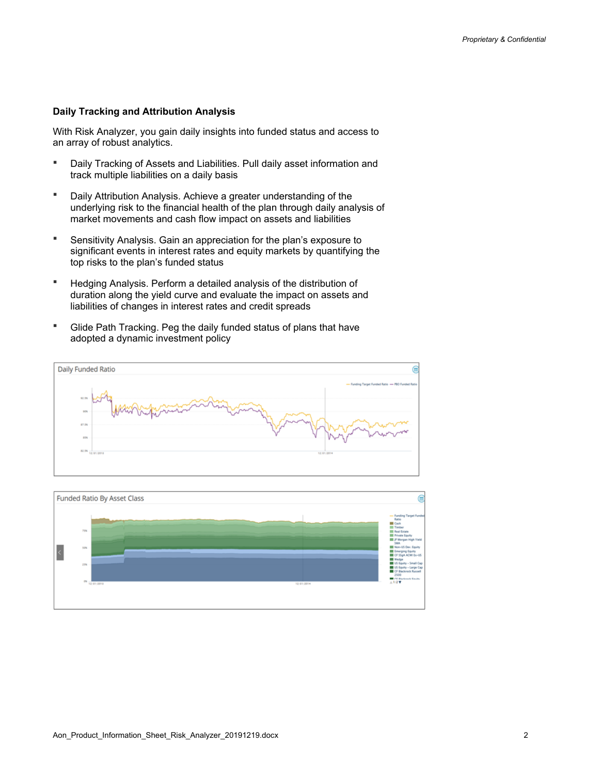## **Daily Tracking and Attribution Analysis**

With Risk Analyzer, you gain daily insights into funded status and access to an array of robust analytics.

- Daily Tracking of Assets and Liabilities. Pull daily asset information and track multiple liabilities on a daily basis
- Daily Attribution Analysis. Achieve a greater understanding of the underlying risk to the financial health of the plan through daily analysis of market movements and cash flow impact on assets and liabilities
- Sensitivity Analysis. Gain an appreciation for the plan's exposure to significant events in interest rates and equity markets by quantifying the top risks to the plan's funded status
- Hedging Analysis. Perform a detailed analysis of the distribution of duration along the yield curve and evaluate the impact on assets and liabilities of changes in interest rates and credit spreads
- Glide Path Tracking. Peg the daily funded status of plans that have adopted a dynamic investment policy